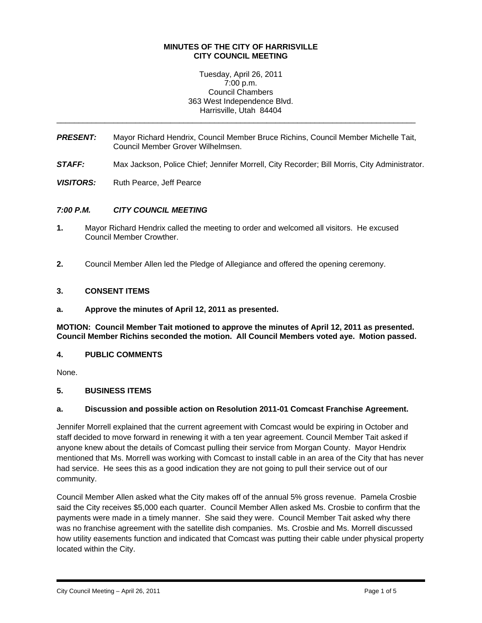#### **MINUTES OF THE CITY OF HARRISVILLE CITY COUNCIL MEETING**

Tuesday, April 26, 2011 7:00 p.m. Council Chambers 363 West Independence Blvd. Harrisville, Utah 84404

*PRESENT:* Mayor Richard Hendrix, Council Member Bruce Richins, Council Member Michelle Tait, Council Member Grover Wilhelmsen.

\_\_\_\_\_\_\_\_\_\_\_\_\_\_\_\_\_\_\_\_\_\_\_\_\_\_\_\_\_\_\_\_\_\_\_\_\_\_\_\_\_\_\_\_\_\_\_\_\_\_\_\_\_\_\_\_\_\_\_\_\_\_\_\_\_\_\_\_\_\_\_\_\_\_\_\_\_\_\_\_\_\_

- *STAFF:* Max Jackson, Police Chief; Jennifer Morrell, City Recorder; Bill Morris, City Administrator.
- **VISITORS:** Ruth Pearce, Jeff Pearce

### *7:00 P.M. CITY COUNCIL MEETING*

- **1.** Mayor Richard Hendrix called the meeting to order and welcomed all visitors. He excused Council Member Crowther.
- **2.** Council Member Allen led the Pledge of Allegiance and offered the opening ceremony.

### **3. CONSENT ITEMS**

**a. Approve the minutes of April 12, 2011 as presented.** 

**MOTION: Council Member Tait motioned to approve the minutes of April 12, 2011 as presented. Council Member Richins seconded the motion. All Council Members voted aye. Motion passed.** 

### **4. PUBLIC COMMENTS**

None.

i

#### **5. BUSINESS ITEMS**

#### **a. Discussion and possible action on Resolution 2011-01 Comcast Franchise Agreement.**

Jennifer Morrell explained that the current agreement with Comcast would be expiring in October and staff decided to move forward in renewing it with a ten year agreement. Council Member Tait asked if anyone knew about the details of Comcast pulling their service from Morgan County. Mayor Hendrix mentioned that Ms. Morrell was working with Comcast to install cable in an area of the City that has never had service. He sees this as a good indication they are not going to pull their service out of our community.

Council Member Allen asked what the City makes off of the annual 5% gross revenue. Pamela Crosbie said the City receives \$5,000 each quarter. Council Member Allen asked Ms. Crosbie to confirm that the payments were made in a timely manner. She said they were. Council Member Tait asked why there was no franchise agreement with the satellite dish companies. Ms. Crosbie and Ms. Morrell discussed how utility easements function and indicated that Comcast was putting their cable under physical property located within the City.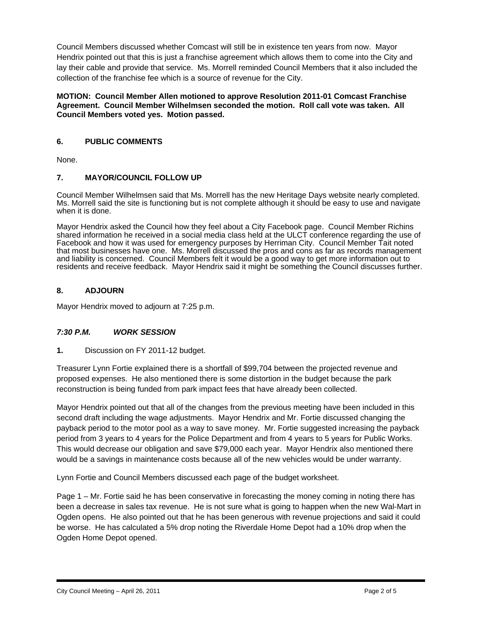Council Members discussed whether Comcast will still be in existence ten years from now. Mayor Hendrix pointed out that this is just a franchise agreement which allows them to come into the City and lay their cable and provide that service. Ms. Morrell reminded Council Members that it also included the collection of the franchise fee which is a source of revenue for the City.

### **MOTION: Council Member Allen motioned to approve Resolution 2011-01 Comcast Franchise Agreement. Council Member Wilhelmsen seconded the motion. Roll call vote was taken. All Council Members voted yes. Motion passed.**

# **6. PUBLIC COMMENTS**

None.

# **7. MAYOR/COUNCIL FOLLOW UP**

Council Member Wilhelmsen said that Ms. Morrell has the new Heritage Days website nearly completed. Ms. Morrell said the site is functioning but is not complete although it should be easy to use and navigate when it is done.

Mayor Hendrix asked the Council how they feel about a City Facebook page. Council Member Richins shared information he received in a social media class held at the ULCT conference regarding the use of Facebook and how it was used for emergency purposes by Herriman City. Council Member Tait noted that most businesses have one. Ms. Morrell discussed the pros and cons as far as records management and liability is concerned. Council Members felt it would be a good way to get more information out to residents and receive feedback. Mayor Hendrix said it might be something the Council discusses further.

# **8. ADJOURN**

Mayor Hendrix moved to adjourn at 7:25 p.m.

## *7:30 P.M. WORK SESSION*

**1.** Discussion on FY 2011-12 budget.

Treasurer Lynn Fortie explained there is a shortfall of \$99,704 between the projected revenue and proposed expenses. He also mentioned there is some distortion in the budget because the park reconstruction is being funded from park impact fees that have already been collected.

Mayor Hendrix pointed out that all of the changes from the previous meeting have been included in this second draft including the wage adjustments. Mayor Hendrix and Mr. Fortie discussed changing the payback period to the motor pool as a way to save money. Mr. Fortie suggested increasing the payback period from 3 years to 4 years for the Police Department and from 4 years to 5 years for Public Works. This would decrease our obligation and save \$79,000 each year. Mayor Hendrix also mentioned there would be a savings in maintenance costs because all of the new vehicles would be under warranty.

Lynn Fortie and Council Members discussed each page of the budget worksheet.

Page 1 – Mr. Fortie said he has been conservative in forecasting the money coming in noting there has been a decrease in sales tax revenue. He is not sure what is going to happen when the new Wal-Mart in Ogden opens. He also pointed out that he has been generous with revenue projections and said it could be worse. He has calculated a 5% drop noting the Riverdale Home Depot had a 10% drop when the Ogden Home Depot opened.

i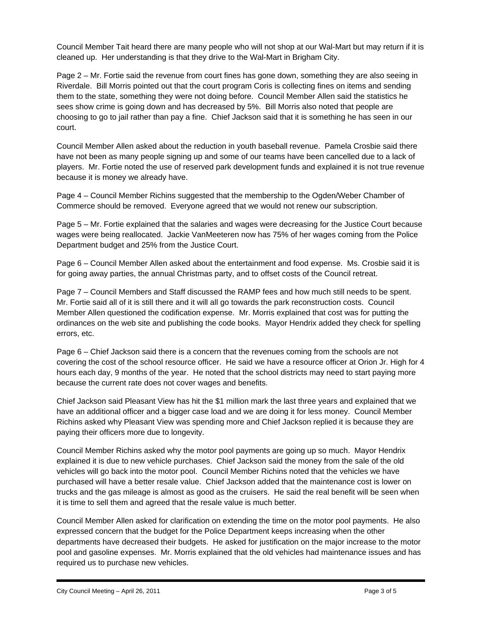Council Member Tait heard there are many people who will not shop at our Wal-Mart but may return if it is cleaned up. Her understanding is that they drive to the Wal-Mart in Brigham City.

Page 2 – Mr. Fortie said the revenue from court fines has gone down, something they are also seeing in Riverdale. Bill Morris pointed out that the court program Coris is collecting fines on items and sending them to the state, something they were not doing before. Council Member Allen said the statistics he sees show crime is going down and has decreased by 5%. Bill Morris also noted that people are choosing to go to jail rather than pay a fine. Chief Jackson said that it is something he has seen in our court.

Council Member Allen asked about the reduction in youth baseball revenue. Pamela Crosbie said there have not been as many people signing up and some of our teams have been cancelled due to a lack of players. Mr. Fortie noted the use of reserved park development funds and explained it is not true revenue because it is money we already have.

Page 4 – Council Member Richins suggested that the membership to the Ogden/Weber Chamber of Commerce should be removed. Everyone agreed that we would not renew our subscription.

Page 5 – Mr. Fortie explained that the salaries and wages were decreasing for the Justice Court because wages were being reallocated. Jackie VanMeeteren now has 75% of her wages coming from the Police Department budget and 25% from the Justice Court.

Page 6 – Council Member Allen asked about the entertainment and food expense. Ms. Crosbie said it is for going away parties, the annual Christmas party, and to offset costs of the Council retreat.

Page 7 – Council Members and Staff discussed the RAMP fees and how much still needs to be spent. Mr. Fortie said all of it is still there and it will all go towards the park reconstruction costs. Council Member Allen questioned the codification expense. Mr. Morris explained that cost was for putting the ordinances on the web site and publishing the code books. Mayor Hendrix added they check for spelling errors, etc.

Page 6 – Chief Jackson said there is a concern that the revenues coming from the schools are not covering the cost of the school resource officer. He said we have a resource officer at Orion Jr. High for 4 hours each day, 9 months of the year. He noted that the school districts may need to start paying more because the current rate does not cover wages and benefits.

Chief Jackson said Pleasant View has hit the \$1 million mark the last three years and explained that we have an additional officer and a bigger case load and we are doing it for less money. Council Member Richins asked why Pleasant View was spending more and Chief Jackson replied it is because they are paying their officers more due to longevity.

Council Member Richins asked why the motor pool payments are going up so much. Mayor Hendrix explained it is due to new vehicle purchases. Chief Jackson said the money from the sale of the old vehicles will go back into the motor pool. Council Member Richins noted that the vehicles we have purchased will have a better resale value. Chief Jackson added that the maintenance cost is lower on trucks and the gas mileage is almost as good as the cruisers. He said the real benefit will be seen when it is time to sell them and agreed that the resale value is much better.

Council Member Allen asked for clarification on extending the time on the motor pool payments. He also expressed concern that the budget for the Police Department keeps increasing when the other departments have decreased their budgets. He asked for justification on the major increase to the motor pool and gasoline expenses. Mr. Morris explained that the old vehicles had maintenance issues and has required us to purchase new vehicles.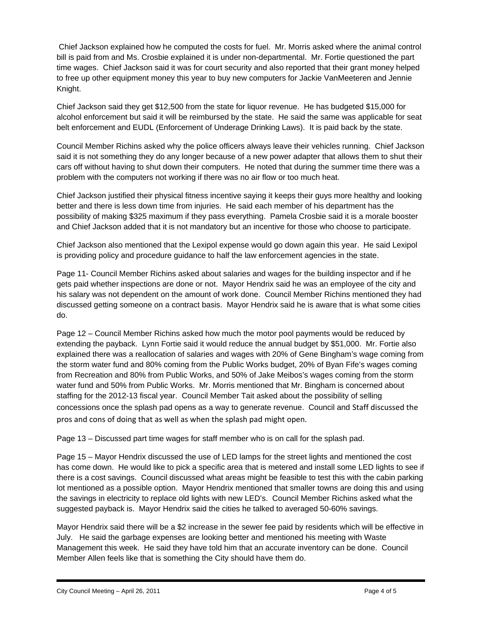Chief Jackson explained how he computed the costs for fuel. Mr. Morris asked where the animal control bill is paid from and Ms. Crosbie explained it is under non-departmental. Mr. Fortie questioned the part time wages. Chief Jackson said it was for court security and also reported that their grant money helped to free up other equipment money this year to buy new computers for Jackie VanMeeteren and Jennie Knight.

Chief Jackson said they get \$12,500 from the state for liquor revenue. He has budgeted \$15,000 for alcohol enforcement but said it will be reimbursed by the state. He said the same was applicable for seat belt enforcement and EUDL (Enforcement of Underage Drinking Laws). It is paid back by the state.

Council Member Richins asked why the police officers always leave their vehicles running. Chief Jackson said it is not something they do any longer because of a new power adapter that allows them to shut their cars off without having to shut down their computers. He noted that during the summer time there was a problem with the computers not working if there was no air flow or too much heat.

Chief Jackson justified their physical fitness incentive saying it keeps their guys more healthy and looking better and there is less down time from injuries. He said each member of his department has the possibility of making \$325 maximum if they pass everything. Pamela Crosbie said it is a morale booster and Chief Jackson added that it is not mandatory but an incentive for those who choose to participate.

Chief Jackson also mentioned that the Lexipol expense would go down again this year. He said Lexipol is providing policy and procedure guidance to half the law enforcement agencies in the state.

Page 11- Council Member Richins asked about salaries and wages for the building inspector and if he gets paid whether inspections are done or not. Mayor Hendrix said he was an employee of the city and his salary was not dependent on the amount of work done. Council Member Richins mentioned they had discussed getting someone on a contract basis. Mayor Hendrix said he is aware that is what some cities do.

Page 12 – Council Member Richins asked how much the motor pool payments would be reduced by extending the payback. Lynn Fortie said it would reduce the annual budget by \$51,000. Mr. Fortie also explained there was a reallocation of salaries and wages with 20% of Gene Bingham's wage coming from the storm water fund and 80% coming from the Public Works budget, 20% of Byan Fife's wages coming from Recreation and 80% from Public Works, and 50% of Jake Meibos's wages coming from the storm water fund and 50% from Public Works. Mr. Morris mentioned that Mr. Bingham is concerned about staffing for the 2012-13 fiscal year. Council Member Tait asked about the possibility of selling concessions once the splash pad opens as a way to generate revenue. Council and Staff discussed the pros and cons of doing that as well as when the splash pad might open.

Page 13 – Discussed part time wages for staff member who is on call for the splash pad.

Page 15 – Mayor Hendrix discussed the use of LED lamps for the street lights and mentioned the cost has come down. He would like to pick a specific area that is metered and install some LED lights to see if there is a cost savings. Council discussed what areas might be feasible to test this with the cabin parking lot mentioned as a possible option. Mayor Hendrix mentioned that smaller towns are doing this and using the savings in electricity to replace old lights with new LED's. Council Member Richins asked what the suggested payback is. Mayor Hendrix said the cities he talked to averaged 50-60% savings.

Mayor Hendrix said there will be a \$2 increase in the sewer fee paid by residents which will be effective in July. He said the garbage expenses are looking better and mentioned his meeting with Waste Management this week. He said they have told him that an accurate inventory can be done. Council Member Allen feels like that is something the City should have them do.